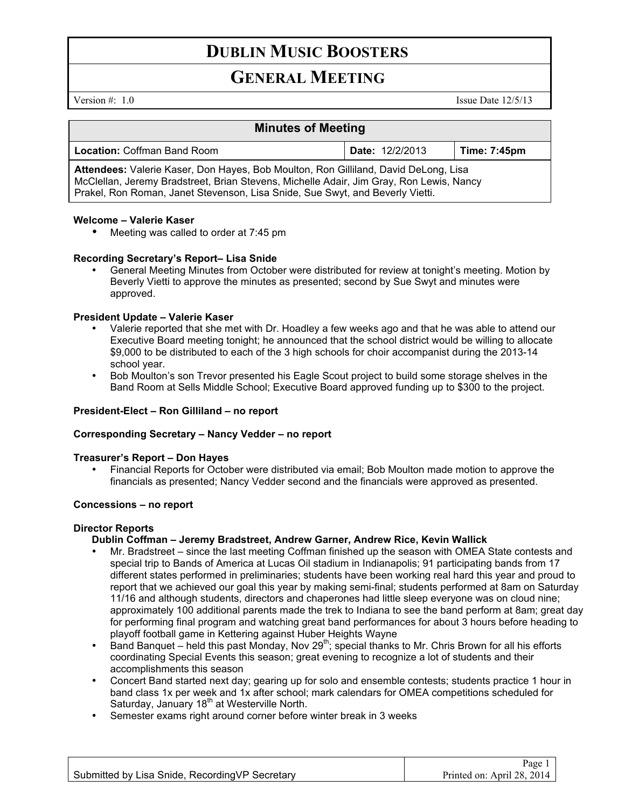# **DUBLIN MUSIC BOOSTERS**

# **GENERAL MEETING**

Version #: 1.0 Issue Date 12/5/13

| <b>Minutes of Meeting</b>                                                                                                                                                                                                                                       |                        |              |
|-----------------------------------------------------------------------------------------------------------------------------------------------------------------------------------------------------------------------------------------------------------------|------------------------|--------------|
| <b>Location: Coffman Band Room</b>                                                                                                                                                                                                                              | <b>Date: 12/2/2013</b> | Time: 7:45pm |
| Attendees: Valerie Kaser, Don Hayes, Bob Moulton, Ron Gilliland, David DeLong, Lisa<br>McClellan, Jeremy Bradstreet, Brian Stevens, Michelle Adair, Jim Gray, Ron Lewis, Nancy<br>Prakel, Ron Roman, Janet Stevenson, Lisa Snide, Sue Swyt, and Beverly Vietti. |                        |              |

#### **Welcome – Valerie Kaser**

• Meeting was called to order at 7:45 pm

#### **Recording Secretary's Report– Lisa Snide**

• General Meeting Minutes from October were distributed for review at tonight's meeting. Motion by Beverly Vietti to approve the minutes as presented; second by Sue Swyt and minutes were approved.

## **President Update – Valerie Kaser**

- Valerie reported that she met with Dr. Hoadley a few weeks ago and that he was able to attend our Executive Board meeting tonight; he announced that the school district would be willing to allocate \$9,000 to be distributed to each of the 3 high schools for choir accompanist during the 2013-14 school year.
- Bob Moulton's son Trevor presented his Eagle Scout project to build some storage shelves in the Band Room at Sells Middle School; Executive Board approved funding up to \$300 to the project.

#### **President-Elect – Ron Gilliland – no report**

#### **Corresponding Secretary – Nancy Vedder – no report**

#### **Treasurer's Report – Don Hayes**

• Financial Reports for October were distributed via email; Bob Moulton made motion to approve the financials as presented; Nancy Vedder second and the financials were approved as presented.

#### **Concessions – no report**

#### **Director Reports**

#### **Dublin Coffman – Jeremy Bradstreet, Andrew Garner, Andrew Rice, Kevin Wallick**

- Mr. Bradstreet since the last meeting Coffman finished up the season with OMEA State contests and special trip to Bands of America at Lucas Oil stadium in Indianapolis; 91 participating bands from 17 different states performed in preliminaries; students have been working real hard this year and proud to report that we achieved our goal this year by making semi-final; students performed at 8am on Saturday 11/16 and although students, directors and chaperones had little sleep everyone was on cloud nine; approximately 100 additional parents made the trek to Indiana to see the band perform at 8am; great day for performing final program and watching great band performances for about 3 hours before heading to playoff football game in Kettering against Huber Heights Wayne
- Band Banquet held this past Monday, Nov 29<sup>th</sup>; special thanks to Mr. Chris Brown for all his efforts coordinating Special Events this season; great evening to recognize a lot of students and their accomplishments this season
- Concert Band started next day; gearing up for solo and ensemble contests; students practice 1 hour in band class 1x per week and 1x after school; mark calendars for OMEA competitions scheduled for Saturday, January 18<sup>th</sup> at Westerville North.
- Semester exams right around corner before winter break in 3 weeks

Page 1 Printed on: April 28, 2014